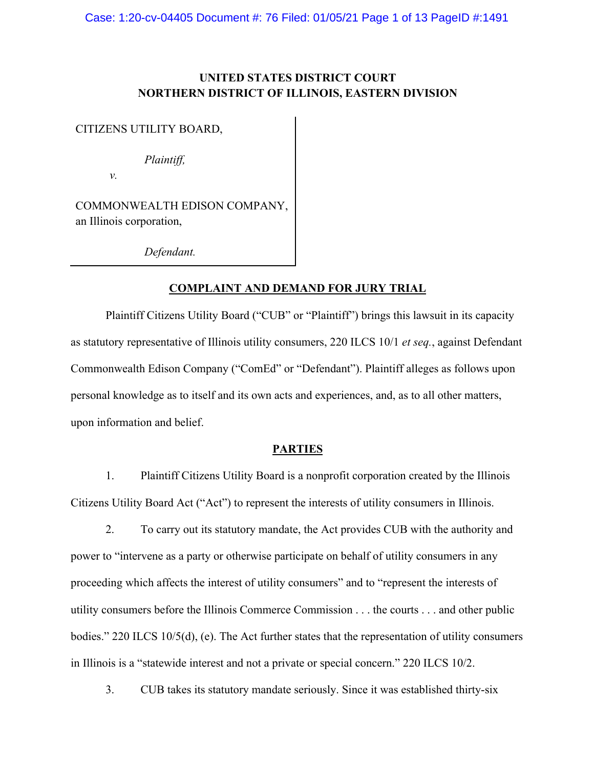# **UNITED STATES DISTRICT COURT NORTHERN DISTRICT OF ILLINOIS, EASTERN DIVISION**

CITIZENS UTILITY BOARD,

*Plaintiff,* 

*v.*

COMMONWEALTH EDISON COMPANY, an Illinois corporation,

*Defendant.* 

## **COMPLAINT AND DEMAND FOR JURY TRIAL**

Plaintiff Citizens Utility Board ("CUB" or "Plaintiff") brings this lawsuit in its capacity as statutory representative of Illinois utility consumers, 220 ILCS 10/1 *et seq.*, against Defendant Commonwealth Edison Company ("ComEd" or "Defendant"). Plaintiff alleges as follows upon personal knowledge as to itself and its own acts and experiences, and, as to all other matters, upon information and belief.

### **PARTIES**

1. Plaintiff Citizens Utility Board is a nonprofit corporation created by the Illinois Citizens Utility Board Act ("Act") to represent the interests of utility consumers in Illinois.

2. To carry out its statutory mandate, the Act provides CUB with the authority and power to "intervene as a party or otherwise participate on behalf of utility consumers in any proceeding which affects the interest of utility consumers" and to "represent the interests of utility consumers before the Illinois Commerce Commission . . . the courts . . . and other public bodies." 220 ILCS 10/5(d), (e). The Act further states that the representation of utility consumers in Illinois is a "statewide interest and not a private or special concern." 220 ILCS 10/2.

3. CUB takes its statutory mandate seriously. Since it was established thirty-six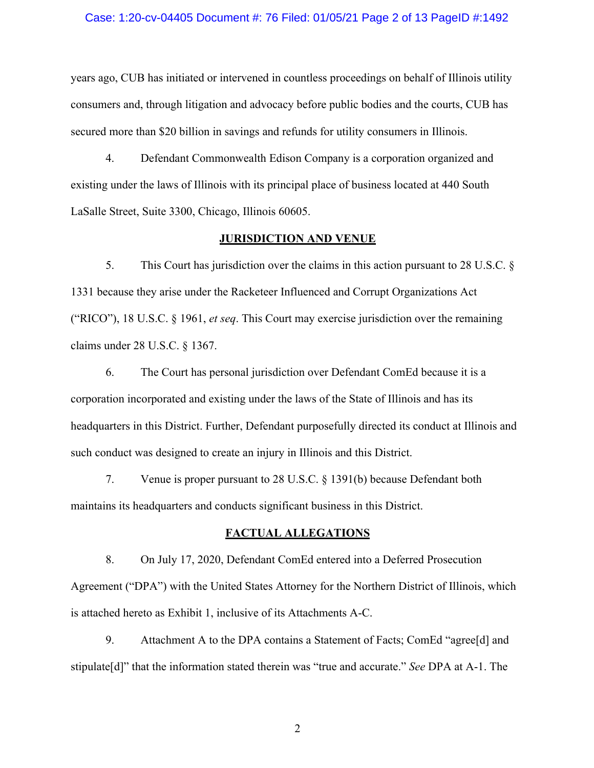#### Case: 1:20-cv-04405 Document #: 76 Filed: 01/05/21 Page 2 of 13 PageID #:1492

years ago, CUB has initiated or intervened in countless proceedings on behalf of Illinois utility consumers and, through litigation and advocacy before public bodies and the courts, CUB has secured more than \$20 billion in savings and refunds for utility consumers in Illinois.

4. Defendant Commonwealth Edison Company is a corporation organized and existing under the laws of Illinois with its principal place of business located at 440 South LaSalle Street, Suite 3300, Chicago, Illinois 60605.

#### **JURISDICTION AND VENUE**

5. This Court has jurisdiction over the claims in this action pursuant to 28 U.S.C. § 1331 because they arise under the Racketeer Influenced and Corrupt Organizations Act ("RICO"), 18 U.S.C. § 1961, *et seq*. This Court may exercise jurisdiction over the remaining claims under 28 U.S.C. § 1367.

6. The Court has personal jurisdiction over Defendant ComEd because it is a corporation incorporated and existing under the laws of the State of Illinois and has its headquarters in this District. Further, Defendant purposefully directed its conduct at Illinois and such conduct was designed to create an injury in Illinois and this District.

7. Venue is proper pursuant to 28 U.S.C. § 1391(b) because Defendant both maintains its headquarters and conducts significant business in this District.

### **FACTUAL ALLEGATIONS**

8. On July 17, 2020, Defendant ComEd entered into a Deferred Prosecution Agreement ("DPA") with the United States Attorney for the Northern District of Illinois, which is attached hereto as Exhibit 1, inclusive of its Attachments A-C.

9. Attachment A to the DPA contains a Statement of Facts; ComEd "agree[d] and stipulate[d]" that the information stated therein was "true and accurate." *See* DPA at A-1. The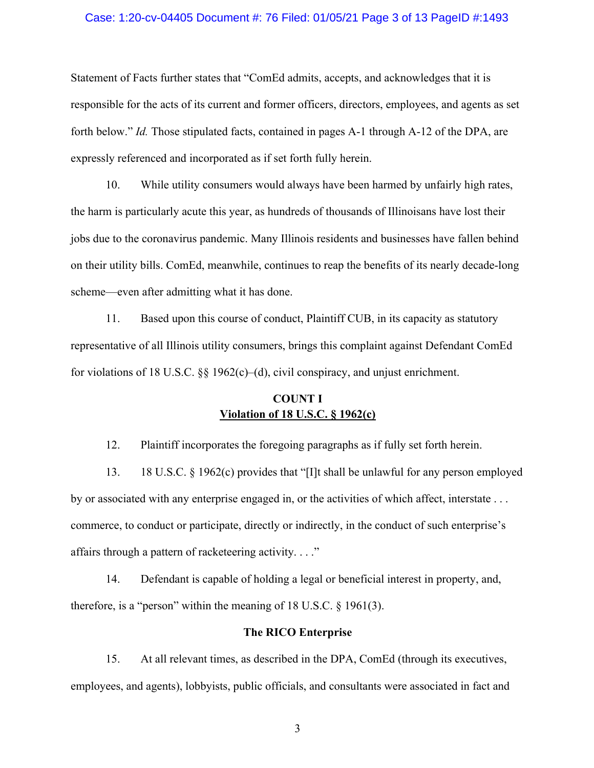### Case: 1:20-cv-04405 Document #: 76 Filed: 01/05/21 Page 3 of 13 PageID #:1493

Statement of Facts further states that "ComEd admits, accepts, and acknowledges that it is responsible for the acts of its current and former officers, directors, employees, and agents as set forth below." *Id.* Those stipulated facts, contained in pages A-1 through A-12 of the DPA, are expressly referenced and incorporated as if set forth fully herein.

10. While utility consumers would always have been harmed by unfairly high rates, the harm is particularly acute this year, as hundreds of thousands of Illinoisans have lost their jobs due to the coronavirus pandemic. Many Illinois residents and businesses have fallen behind on their utility bills. ComEd, meanwhile, continues to reap the benefits of its nearly decade-long scheme—even after admitting what it has done.

11. Based upon this course of conduct, Plaintiff CUB, in its capacity as statutory representative of all Illinois utility consumers, brings this complaint against Defendant ComEd for violations of 18 U.S.C.  $\S$  1962(c)–(d), civil conspiracy, and unjust enrichment.

# **COUNT I Violation of 18 U.S.C. § 1962(c)**

12. Plaintiff incorporates the foregoing paragraphs as if fully set forth herein.

13. 18 U.S.C. § 1962(c) provides that "[I]t shall be unlawful for any person employed by or associated with any enterprise engaged in, or the activities of which affect, interstate . . . commerce, to conduct or participate, directly or indirectly, in the conduct of such enterprise's affairs through a pattern of racketeering activity. . . ."

14. Defendant is capable of holding a legal or beneficial interest in property, and, therefore, is a "person" within the meaning of  $18$  U.S.C.  $\S$  1961(3).

### **The RICO Enterprise**

15. At all relevant times, as described in the DPA, ComEd (through its executives, employees, and agents), lobbyists, public officials, and consultants were associated in fact and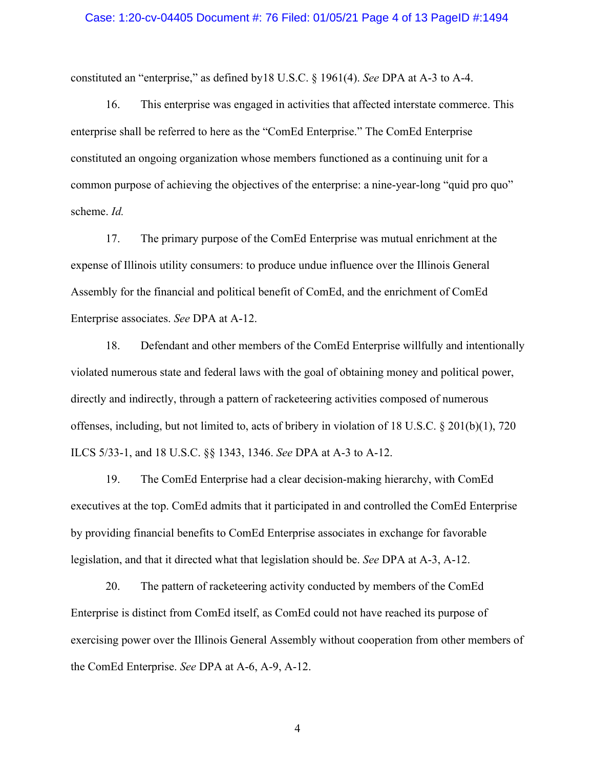#### Case: 1:20-cv-04405 Document #: 76 Filed: 01/05/21 Page 4 of 13 PageID #:1494

constituted an "enterprise," as defined by18 U.S.C. § 1961(4). *See* DPA at A-3 to A-4.

16. This enterprise was engaged in activities that affected interstate commerce. This enterprise shall be referred to here as the "ComEd Enterprise." The ComEd Enterprise constituted an ongoing organization whose members functioned as a continuing unit for a common purpose of achieving the objectives of the enterprise: a nine-year-long "quid pro quo" scheme. *Id.* 

17. The primary purpose of the ComEd Enterprise was mutual enrichment at the expense of Illinois utility consumers: to produce undue influence over the Illinois General Assembly for the financial and political benefit of ComEd, and the enrichment of ComEd Enterprise associates. *See* DPA at A-12.

18. Defendant and other members of the ComEd Enterprise willfully and intentionally violated numerous state and federal laws with the goal of obtaining money and political power, directly and indirectly, through a pattern of racketeering activities composed of numerous offenses, including, but not limited to, acts of bribery in violation of 18 U.S.C. § 201(b)(1), 720 ILCS 5/33-1, and 18 U.S.C. §§ 1343, 1346. *See* DPA at A-3 to A-12.

19. The ComEd Enterprise had a clear decision-making hierarchy, with ComEd executives at the top. ComEd admits that it participated in and controlled the ComEd Enterprise by providing financial benefits to ComEd Enterprise associates in exchange for favorable legislation, and that it directed what that legislation should be. *See* DPA at A-3, A-12.

20. The pattern of racketeering activity conducted by members of the ComEd Enterprise is distinct from ComEd itself, as ComEd could not have reached its purpose of exercising power over the Illinois General Assembly without cooperation from other members of the ComEd Enterprise. *See* DPA at A-6, A-9, A-12.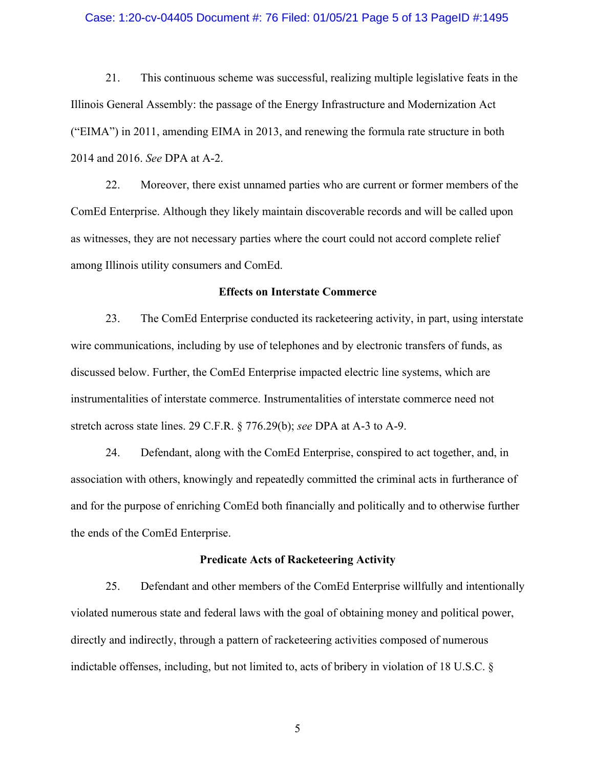#### Case: 1:20-cv-04405 Document #: 76 Filed: 01/05/21 Page 5 of 13 PageID #:1495

21. This continuous scheme was successful, realizing multiple legislative feats in the Illinois General Assembly: the passage of the Energy Infrastructure and Modernization Act ("EIMA") in 2011, amending EIMA in 2013, and renewing the formula rate structure in both 2014 and 2016. *See* DPA at A-2.

22. Moreover, there exist unnamed parties who are current or former members of the ComEd Enterprise. Although they likely maintain discoverable records and will be called upon as witnesses, they are not necessary parties where the court could not accord complete relief among Illinois utility consumers and ComEd.

#### **Effects on Interstate Commerce**

23. The ComEd Enterprise conducted its racketeering activity, in part, using interstate wire communications, including by use of telephones and by electronic transfers of funds, as discussed below. Further, the ComEd Enterprise impacted electric line systems, which are instrumentalities of interstate commerce. Instrumentalities of interstate commerce need not stretch across state lines. 29 C.F.R. § 776.29(b); *see* DPA at A-3 to A-9.

24. Defendant, along with the ComEd Enterprise, conspired to act together, and, in association with others, knowingly and repeatedly committed the criminal acts in furtherance of and for the purpose of enriching ComEd both financially and politically and to otherwise further the ends of the ComEd Enterprise.

## **Predicate Acts of Racketeering Activity**

25. Defendant and other members of the ComEd Enterprise willfully and intentionally violated numerous state and federal laws with the goal of obtaining money and political power, directly and indirectly, through a pattern of racketeering activities composed of numerous indictable offenses, including, but not limited to, acts of bribery in violation of 18 U.S.C. §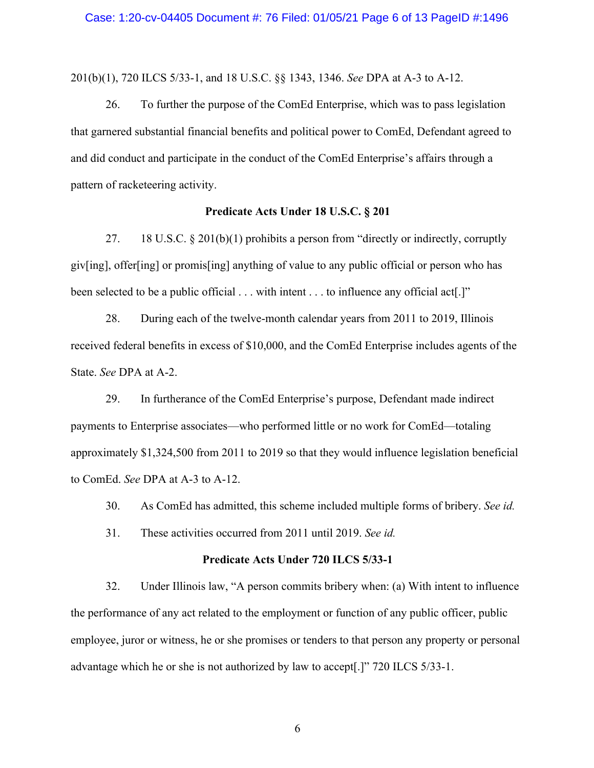201(b)(1), 720 ILCS 5/33-1, and 18 U.S.C. §§ 1343, 1346. *See* DPA at A-3 to A-12.

26. To further the purpose of the ComEd Enterprise, which was to pass legislation that garnered substantial financial benefits and political power to ComEd, Defendant agreed to and did conduct and participate in the conduct of the ComEd Enterprise's affairs through a pattern of racketeering activity.

#### **Predicate Acts Under 18 U.S.C. § 201**

27. 18 U.S.C. § 201(b)(1) prohibits a person from "directly or indirectly, corruptly giv[ing], offer[ing] or promis[ing] anything of value to any public official or person who has been selected to be a public official . . . with intent . . . to influence any official act[.]"

28. During each of the twelve-month calendar years from 2011 to 2019, Illinois received federal benefits in excess of \$10,000, and the ComEd Enterprise includes agents of the State. *See* DPA at A-2.

29. In furtherance of the ComEd Enterprise's purpose, Defendant made indirect payments to Enterprise associates—who performed little or no work for ComEd—totaling approximately \$1,324,500 from 2011 to 2019 so that they would influence legislation beneficial to ComEd. *See* DPA at A-3 to A-12.

30. As ComEd has admitted, this scheme included multiple forms of bribery. *See id.*

31. These activities occurred from 2011 until 2019. *See id.* 

## **Predicate Acts Under 720 ILCS 5/33-1**

32. Under Illinois law, "A person commits bribery when: (a) With intent to influence the performance of any act related to the employment or function of any public officer, public employee, juror or witness, he or she promises or tenders to that person any property or personal advantage which he or she is not authorized by law to accept[.]" 720 ILCS 5/33-1.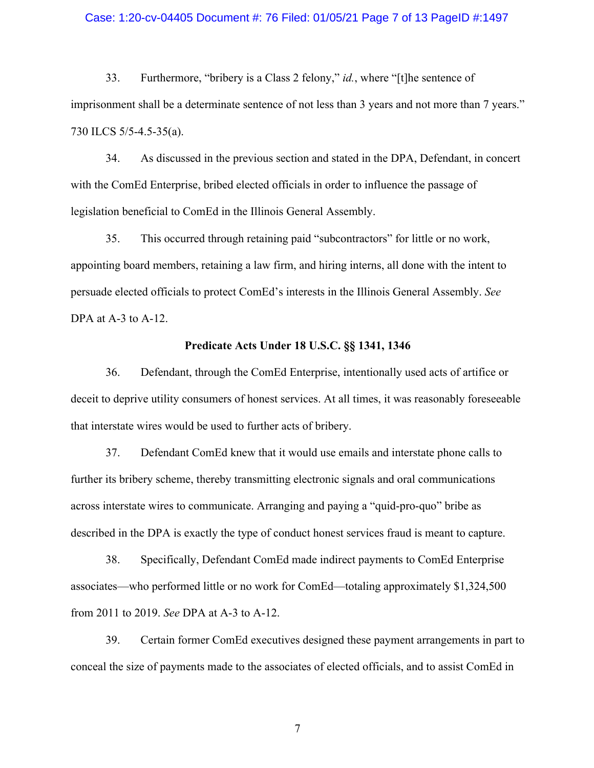#### Case: 1:20-cv-04405 Document #: 76 Filed: 01/05/21 Page 7 of 13 PageID #:1497

33. Furthermore, "bribery is a Class 2 felony," *id.*, where "[t]he sentence of imprisonment shall be a determinate sentence of not less than 3 years and not more than 7 years." 730 ILCS 5/5-4.5-35(a).

34. As discussed in the previous section and stated in the DPA, Defendant, in concert with the ComEd Enterprise, bribed elected officials in order to influence the passage of legislation beneficial to ComEd in the Illinois General Assembly.

35. This occurred through retaining paid "subcontractors" for little or no work, appointing board members, retaining a law firm, and hiring interns, all done with the intent to persuade elected officials to protect ComEd's interests in the Illinois General Assembly. *See*  DPA at A-3 to A-12.

#### **Predicate Acts Under 18 U.S.C. §§ 1341, 1346**

36. Defendant, through the ComEd Enterprise, intentionally used acts of artifice or deceit to deprive utility consumers of honest services. At all times, it was reasonably foreseeable that interstate wires would be used to further acts of bribery.

37. Defendant ComEd knew that it would use emails and interstate phone calls to further its bribery scheme, thereby transmitting electronic signals and oral communications across interstate wires to communicate. Arranging and paying a "quid-pro-quo" bribe as described in the DPA is exactly the type of conduct honest services fraud is meant to capture.

38. Specifically, Defendant ComEd made indirect payments to ComEd Enterprise associates—who performed little or no work for ComEd—totaling approximately \$1,324,500 from 2011 to 2019. *See* DPA at A-3 to A-12.

39. Certain former ComEd executives designed these payment arrangements in part to conceal the size of payments made to the associates of elected officials, and to assist ComEd in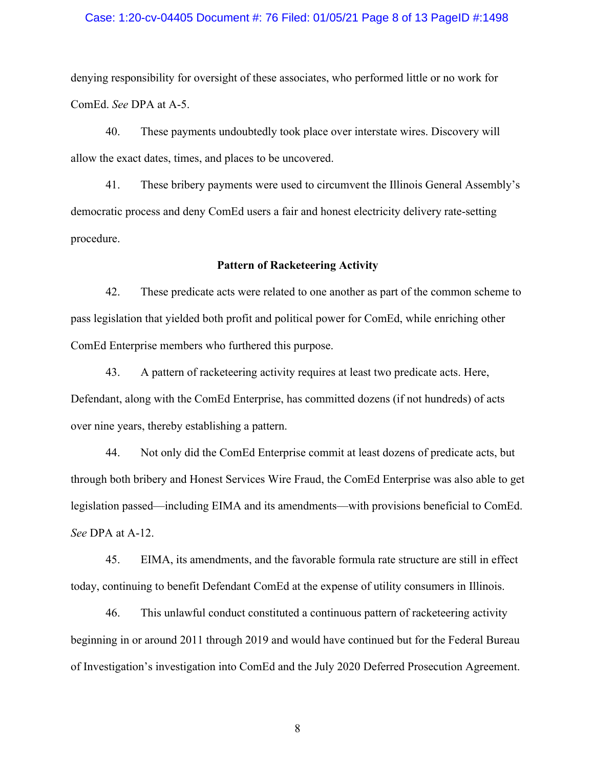### Case: 1:20-cv-04405 Document #: 76 Filed: 01/05/21 Page 8 of 13 PageID #:1498

denying responsibility for oversight of these associates, who performed little or no work for ComEd. *See* DPA at A-5.

40. These payments undoubtedly took place over interstate wires. Discovery will allow the exact dates, times, and places to be uncovered.

41. These bribery payments were used to circumvent the Illinois General Assembly's democratic process and deny ComEd users a fair and honest electricity delivery rate-setting procedure.

#### **Pattern of Racketeering Activity**

42. These predicate acts were related to one another as part of the common scheme to pass legislation that yielded both profit and political power for ComEd, while enriching other ComEd Enterprise members who furthered this purpose.

43. A pattern of racketeering activity requires at least two predicate acts. Here, Defendant, along with the ComEd Enterprise, has committed dozens (if not hundreds) of acts over nine years, thereby establishing a pattern.

44. Not only did the ComEd Enterprise commit at least dozens of predicate acts, but through both bribery and Honest Services Wire Fraud, the ComEd Enterprise was also able to get legislation passed—including EIMA and its amendments—with provisions beneficial to ComEd. *See* DPA at A-12.

45. EIMA, its amendments, and the favorable formula rate structure are still in effect today, continuing to benefit Defendant ComEd at the expense of utility consumers in Illinois.

46. This unlawful conduct constituted a continuous pattern of racketeering activity beginning in or around 2011 through 2019 and would have continued but for the Federal Bureau of Investigation's investigation into ComEd and the July 2020 Deferred Prosecution Agreement.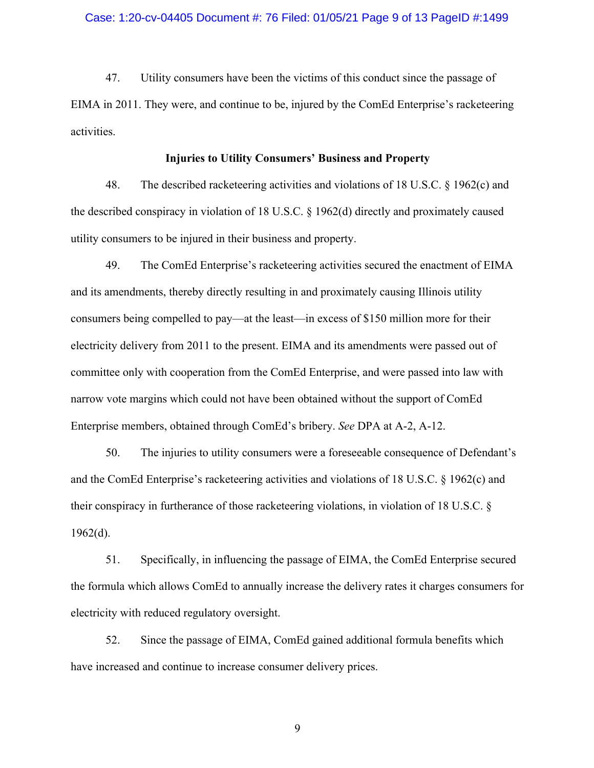#### Case: 1:20-cv-04405 Document #: 76 Filed: 01/05/21 Page 9 of 13 PageID #:1499

47. Utility consumers have been the victims of this conduct since the passage of EIMA in 2011. They were, and continue to be, injured by the ComEd Enterprise's racketeering activities.

### **Injuries to Utility Consumers' Business and Property**

48. The described racketeering activities and violations of 18 U.S.C. § 1962(c) and the described conspiracy in violation of 18 U.S.C. § 1962(d) directly and proximately caused utility consumers to be injured in their business and property.

49. The ComEd Enterprise's racketeering activities secured the enactment of EIMA and its amendments, thereby directly resulting in and proximately causing Illinois utility consumers being compelled to pay—at the least—in excess of \$150 million more for their electricity delivery from 2011 to the present. EIMA and its amendments were passed out of committee only with cooperation from the ComEd Enterprise, and were passed into law with narrow vote margins which could not have been obtained without the support of ComEd Enterprise members, obtained through ComEd's bribery. *See* DPA at A-2, A-12.

50. The injuries to utility consumers were a foreseeable consequence of Defendant's and the ComEd Enterprise's racketeering activities and violations of 18 U.S.C. § 1962(c) and their conspiracy in furtherance of those racketeering violations, in violation of 18 U.S.C. §  $1962(d)$ .

51. Specifically, in influencing the passage of EIMA, the ComEd Enterprise secured the formula which allows ComEd to annually increase the delivery rates it charges consumers for electricity with reduced regulatory oversight.

52. Since the passage of EIMA, ComEd gained additional formula benefits which have increased and continue to increase consumer delivery prices.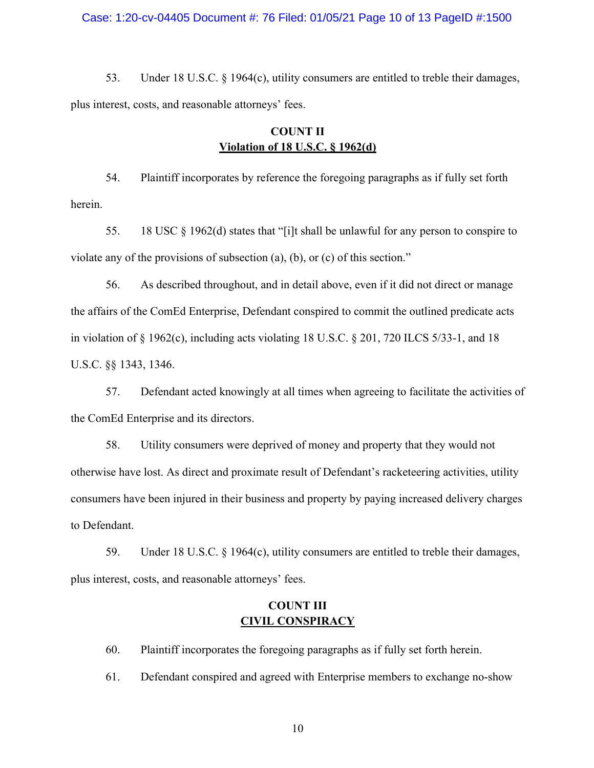#### Case: 1:20-cv-04405 Document #: 76 Filed: 01/05/21 Page 10 of 13 PageID #:1500

53. Under 18 U.S.C. § 1964(c), utility consumers are entitled to treble their damages, plus interest, costs, and reasonable attorneys' fees.

# **COUNT II Violation of 18 U.S.C. § 1962(d)**

54. Plaintiff incorporates by reference the foregoing paragraphs as if fully set forth herein.

55. 18 USC § 1962(d) states that "[i]t shall be unlawful for any person to conspire to violate any of the provisions of subsection (a), (b), or (c) of this section."

56. As described throughout, and in detail above, even if it did not direct or manage the affairs of the ComEd Enterprise, Defendant conspired to commit the outlined predicate acts in violation of  $\S$  1962(c), including acts violating 18 U.S.C.  $\S$  201, 720 ILCS 5/33-1, and 18 U.S.C. §§ 1343, 1346.

57. Defendant acted knowingly at all times when agreeing to facilitate the activities of the ComEd Enterprise and its directors.

58. Utility consumers were deprived of money and property that they would not otherwise have lost. As direct and proximate result of Defendant's racketeering activities, utility consumers have been injured in their business and property by paying increased delivery charges to Defendant.

59. Under 18 U.S.C. § 1964(c), utility consumers are entitled to treble their damages, plus interest, costs, and reasonable attorneys' fees.

# **COUNT III CIVIL CONSPIRACY**

60. Plaintiff incorporates the foregoing paragraphs as if fully set forth herein.

61. Defendant conspired and agreed with Enterprise members to exchange no-show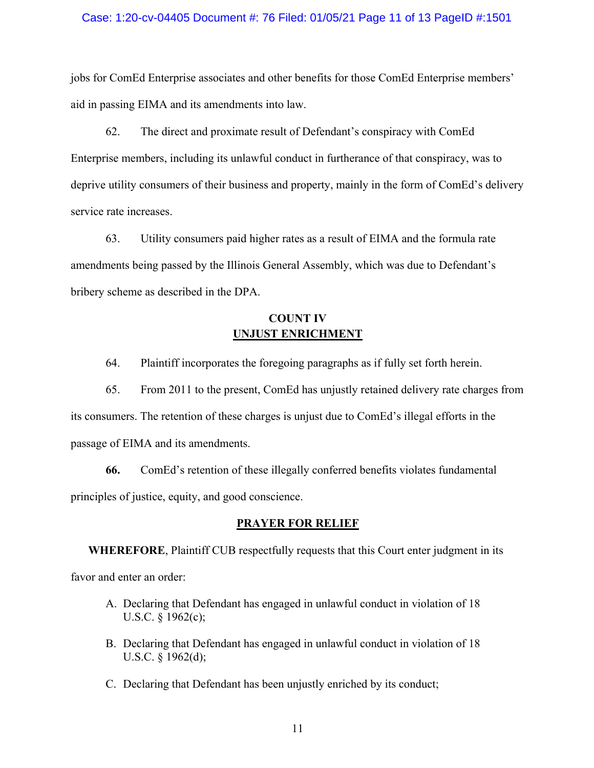### Case: 1:20-cv-04405 Document #: 76 Filed: 01/05/21 Page 11 of 13 PageID #:1501

jobs for ComEd Enterprise associates and other benefits for those ComEd Enterprise members' aid in passing EIMA and its amendments into law.

62. The direct and proximate result of Defendant's conspiracy with ComEd Enterprise members, including its unlawful conduct in furtherance of that conspiracy, was to deprive utility consumers of their business and property, mainly in the form of ComEd's delivery service rate increases.

63. Utility consumers paid higher rates as a result of EIMA and the formula rate amendments being passed by the Illinois General Assembly, which was due to Defendant's bribery scheme as described in the DPA.

# **COUNT IV UNJUST ENRICHMENT**

64. Plaintiff incorporates the foregoing paragraphs as if fully set forth herein.

65. From 2011 to the present, ComEd has unjustly retained delivery rate charges from its consumers. The retention of these charges is unjust due to ComEd's illegal efforts in the passage of EIMA and its amendments.

**66.** ComEd's retention of these illegally conferred benefits violates fundamental principles of justice, equity, and good conscience.

### **PRAYER FOR RELIEF**

**WHEREFORE**, Plaintiff CUB respectfully requests that this Court enter judgment in its favor and enter an order:

- A. Declaring that Defendant has engaged in unlawful conduct in violation of 18 U.S.C. § 1962(c);
- B. Declaring that Defendant has engaged in unlawful conduct in violation of 18 U.S.C. § 1962(d);
- C. Declaring that Defendant has been unjustly enriched by its conduct;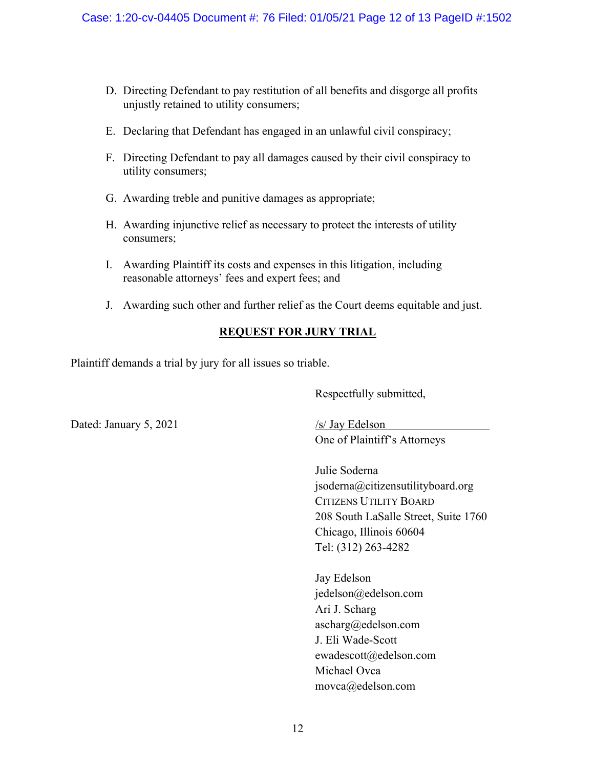- D. Directing Defendant to pay restitution of all benefits and disgorge all profits unjustly retained to utility consumers;
- E. Declaring that Defendant has engaged in an unlawful civil conspiracy;
- F. Directing Defendant to pay all damages caused by their civil conspiracy to utility consumers;
- G. Awarding treble and punitive damages as appropriate;
- H. Awarding injunctive relief as necessary to protect the interests of utility consumers;
- I. Awarding Plaintiff its costs and expenses in this litigation, including reasonable attorneys' fees and expert fees; and
- J. Awarding such other and further relief as the Court deems equitable and just.

# **REQUEST FOR JURY TRIAL**

Plaintiff demands a trial by jury for all issues so triable.

Respectfully submitted,

Dated: January 5, 2021 /s/ Jay Edelson

One of Plaintiff's Attorneys

Julie Soderna jsoderna@citizensutilityboard.org CITIZENS UTILITY BOARD 208 South LaSalle Street, Suite 1760 Chicago, Illinois 60604 Tel: (312) 263-4282

Jay Edelson jedelson@edelson.com Ari J. Scharg ascharg@edelson.com J. Eli Wade-Scott ewadescott@edelson.com Michael Ovca movca@edelson.com